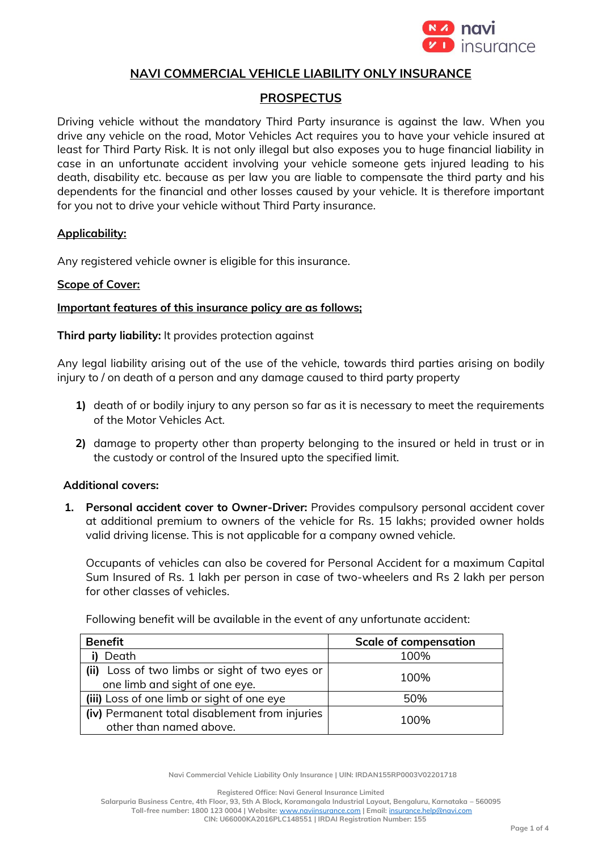

### **NAVI COMMERCIAL VEHICLE LIABILITY ONLY INSURANCE**

# **PROSPECTUS**

Driving vehicle without the mandatory Third Party insurance is against the law. When you drive any vehicle on the road, Motor Vehicles Act requires you to have your vehicle insured at least for Third Party Risk. It is not only illegal but also exposes you to huge financial liability in case in an unfortunate accident involving your vehicle someone gets injured leading to his death, disability etc. because as per law you are liable to compensate the third party and his dependents for the financial and other losses caused by your vehicle. It is therefore important for you not to drive your vehicle without Third Party insurance.

### **Applicability:**

Any registered vehicle owner is eligible for this insurance.

### **Scope of Cover:**

### **Important features of this insurance policy are as follows;**

**Third party liability:** It provides protection against

Any legal liability arising out of the use of the vehicle, towards third parties arising on bodily injury to / on death of a person and any damage caused to third party property

- **1)** death of or bodily injury to any person so far as it is necessary to meet the requirements of the Motor Vehicles Act.
- **2)** damage to property other than property belonging to the insured or held in trust or in the custody or control of the Insured upto the specified limit.

### **Additional covers:**

**1. Personal accident cover to Owner-Driver:** Provides compulsory personal accident cover at additional premium to owners of the vehicle for Rs. 15 lakhs; provided owner holds valid driving license. This is not applicable for a company owned vehicle.

Occupants of vehicles can also be covered for Personal Accident for a maximum Capital Sum Insured of Rs. 1 lakh per person in case of two-wheelers and Rs 2 lakh per person for other classes of vehicles.

Following benefit will be available in the event of any unfortunate accident:

| <b>Benefit</b>                                 | <b>Scale of compensation</b> |
|------------------------------------------------|------------------------------|
| Death                                          | 100%                         |
| (ii) Loss of two limbs or sight of two eyes or | 100%                         |
| one limb and sight of one eye.                 |                              |
| (iii) Loss of one limb or sight of one eye     | 50%                          |
| (iv) Permanent total disablement from injuries | 100%                         |
| other than named above.                        |                              |

**Navi Commercial Vehicle Liability Only Insurance | UIN: IRDAN155RP0003V02201718**

**Registered Office: Navi General Insurance Limited**

**Salarpuria Business Centre, 4th Floor, 93, 5th A Block, Koramangala Industrial Layout, Bengaluru, Karnataka – 560095 Toll-free number: 1800 123 0004 | Website:** [www.naviinsurance.com](http://www.naviinsurance.com/) **| Email:** [insurance.help@navi.com](mailto:insurance.help@navi.com) **CIN: U66000KA2016PLC148551 | IRDAI Registration Number: 155**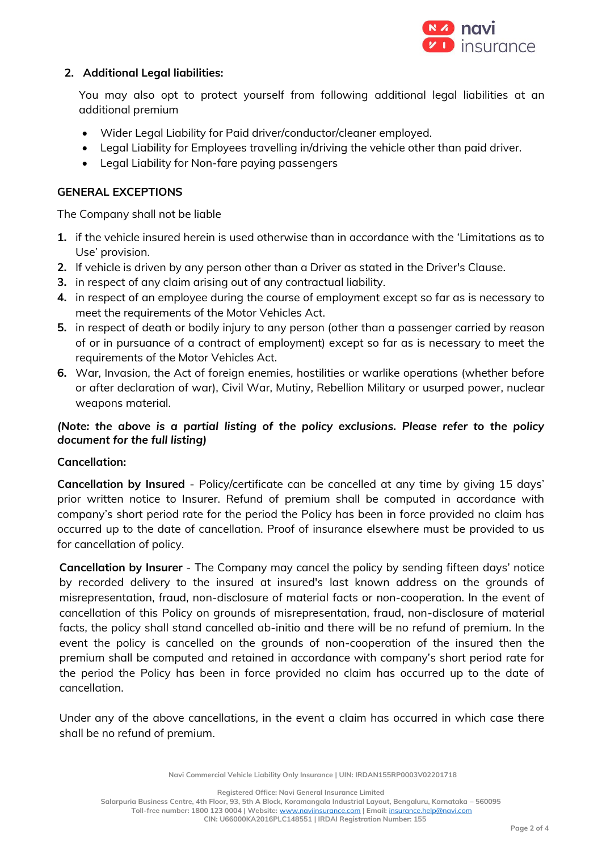

## **2. Additional Legal liabilities:**

You may also opt to protect yourself from following additional legal liabilities at an additional premium

- Wider Legal Liability for Paid driver/conductor/cleaner employed.
- Legal Liability for Employees travelling in/driving the vehicle other than paid driver.
- Legal Liability for Non-fare paying passengers

## **GENERAL EXCEPTIONS**

The Company shall not be liable

- **1.** if the vehicle insured herein is used otherwise than in accordance with the 'Limitations as to Use' provision.
- **2.** If vehicle is driven by any person other than a Driver as stated in the Driver's Clause.
- **3.** in respect of any claim arising out of any contractual liability.
- **4.** in respect of an employee during the course of employment except so far as is necessary to meet the requirements of the Motor Vehicles Act.
- **5.** in respect of death or bodily injury to any person (other than a passenger carried by reason of or in pursuance of a contract of employment) except so far as is necessary to meet the requirements of the Motor Vehicles Act.
- **6.** War, Invasion, the Act of foreign enemies, hostilities or warlike operations (whether before or after declaration of war), Civil War, Mutiny, Rebellion Military or usurped power, nuclear weapons material.

# *(Note: the above is a partial listing of the policy exclusions. Please refer to the policy document for the full listing)*

### **Cancellation:**

**Cancellation by Insured** - Policy/certificate can be cancelled at any time by giving 15 days' prior written notice to Insurer. Refund of premium shall be computed in accordance with company's short period rate for the period the Policy has been in force provided no claim has occurred up to the date of cancellation. Proof of insurance elsewhere must be provided to us for cancellation of policy.

**Cancellation by Insurer** - The Company may cancel the policy by sending fifteen days' notice by recorded delivery to the insured at insured's last known address on the grounds of misrepresentation, fraud, non-disclosure of material facts or non-cooperation. In the event of cancellation of this Policy on grounds of misrepresentation, fraud, non-disclosure of material facts, the policy shall stand cancelled ab-initio and there will be no refund of premium. In the event the policy is cancelled on the grounds of non-cooperation of the insured then the premium shall be computed and retained in accordance with company's short period rate for the period the Policy has been in force provided no claim has occurred up to the date of cancellation.

Under any of the above cancellations, in the event a claim has occurred in which case there shall be no refund of premium.

**Navi Commercial Vehicle Liability Only Insurance | UIN: IRDAN155RP0003V02201718**

**Registered Office: Navi General Insurance Limited**

**Salarpuria Business Centre, 4th Floor, 93, 5th A Block, Koramangala Industrial Layout, Bengaluru, Karnataka – 560095**

**Toll-free number: 1800 123 0004 | Website:** [www.naviinsurance.com](http://www.naviinsurance.com/) **| Email:** [insurance.help@navi.com](mailto:insurance.help@navi.com)

**CIN: U66000KA2016PLC148551 | IRDAI Registration Number: 155**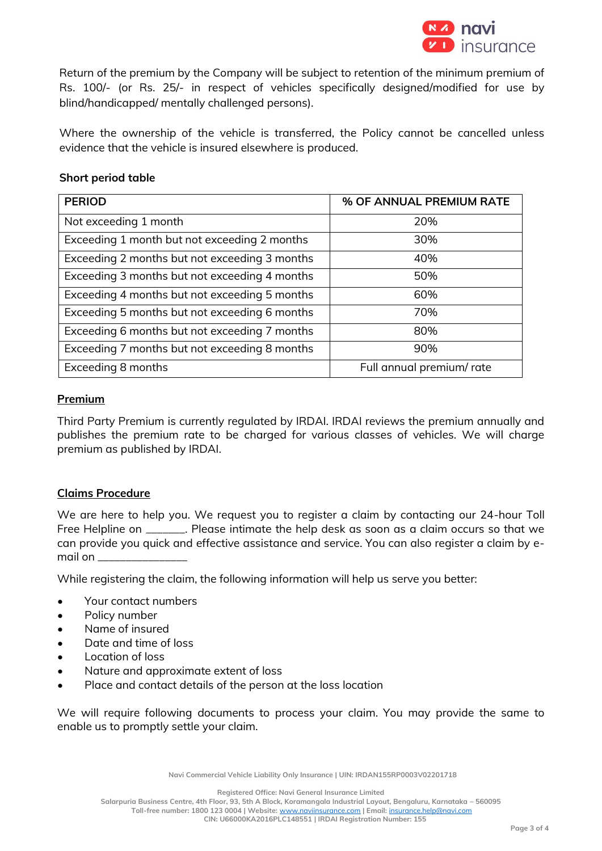

Return of the premium by the Company will be subject to retention of the minimum premium of Rs. 100/- (or Rs. 25/- in respect of vehicles specifically designed/modified for use by blind/handicapped/ mentally challenged persons).

Where the ownership of the vehicle is transferred, the Policy cannot be cancelled unless evidence that the vehicle is insured elsewhere is produced.

### **Short period table**

| <b>PERIOD</b>                                 | % OF ANNUAL PREMIUM RATE |
|-----------------------------------------------|--------------------------|
| Not exceeding 1 month                         | 20%                      |
| Exceeding 1 month but not exceeding 2 months  | 30%                      |
| Exceeding 2 months but not exceeding 3 months | 40%                      |
| Exceeding 3 months but not exceeding 4 months | 50%                      |
| Exceeding 4 months but not exceeding 5 months | 60%                      |
| Exceeding 5 months but not exceeding 6 months | 70%                      |
| Exceeding 6 months but not exceeding 7 months | 80%                      |
| Exceeding 7 months but not exceeding 8 months | 90%                      |
| Exceeding 8 months                            | Full annual premium/rate |

#### **Premium**

Third Party Premium is currently regulated by IRDAI. IRDAI reviews the premium annually and publishes the premium rate to be charged for various classes of vehicles. We will charge premium as published by IRDAI.

### **Claims Procedure**

We are here to help you. We request you to register a claim by contacting our 24-hour Toll Free Helpline on \_\_\_\_\_\_\_. Please intimate the help desk as soon as a claim occurs so that we can provide you quick and effective assistance and service. You can also register a claim by email on \_\_\_\_\_\_\_\_\_\_\_\_\_\_\_\_

While registering the claim, the following information will help us serve you better:

- Your contact numbers
- Policy number
- Name of insured
- Date and time of loss
- Location of loss
- Nature and approximate extent of loss
- Place and contact details of the person at the loss location

We will require following documents to process your claim. You may provide the same to enable us to promptly settle your claim.

**Navi Commercial Vehicle Liability Only Insurance | UIN: IRDAN155RP0003V02201718**

**Registered Office: Navi General Insurance Limited**

**Salarpuria Business Centre, 4th Floor, 93, 5th A Block, Koramangala Industrial Layout, Bengaluru, Karnataka – 560095**

**Toll-free number: 1800 123 0004 | Website:** [www.naviinsurance.com](http://www.naviinsurance.com/) **| Email:** [insurance.help@navi.com](mailto:insurance.help@navi.com)

**CIN: U66000KA2016PLC148551 | IRDAI Registration Number: 155**